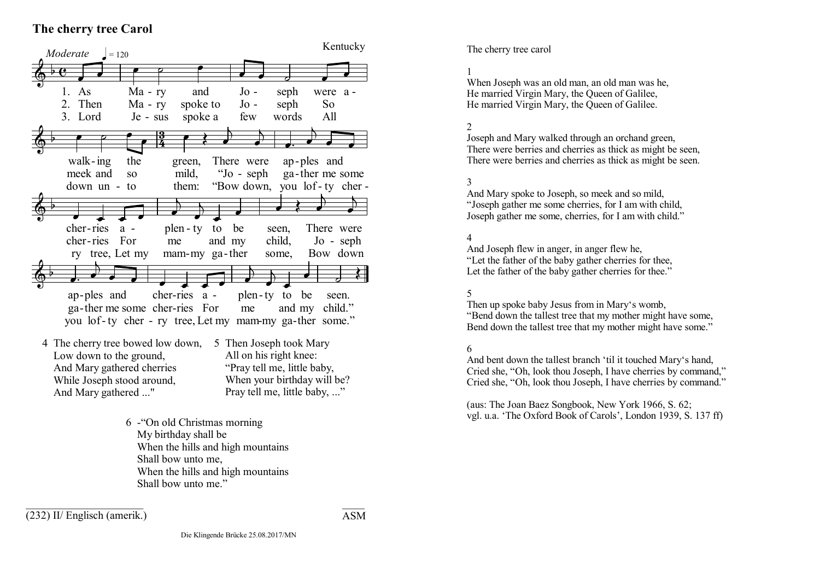# **The cherry tree Carol**



 While Joseph stood around, And Mary gathered ..." When your birthday will be? Pray tell me, little baby, ..."

> 6 -"On old Christmas morning My birthday shall be When the hills and high mountains Shall bow unto me, When the hills and high mountains Shall bow unto me"

 $\mathcal{L}_\text{max}$  , where  $\mathcal{L}_\text{max}$ (232) II/ Englisch (amerik.)

#### $\mathcal{L}=\mathcal{L}^{\mathcal{L}}$ ASM

# Kentucky The cherry tree carol

## 1

When Joseph was an old man, an old man was he, He married Virgin Mary, the Queen of Galilee, He married Virgin Mary, the Queen of Galilee.

## 2

Joseph and Mary walked through an orchand green, There were berries and cherries as thick as might be seen, There were berries and cherries as thick as might be seen.

### 3

And Mary spoke to Joseph, so meek and so mild, "Joseph gather me some cherries, for I am with child, Joseph gather me some, cherries, for I am with child."

### 4

And Joseph flew in anger, in anger flew he, "Let the father of the baby gather cherries for thee, Let the father of the baby gather cherries for thee."

#### 5

Then up spoke baby Jesus from in Mary's womb, "Bend down the tallest tree that my mother might have some, Bend down the tallest tree that my mother might have some."

#### 6

And bent down the tallest branch 'til it touched Mary's hand, Cried she, "Oh, look thou Joseph, I have cherries by command," Cried she, "Oh, look thou Joseph, I have cherries by command."

(aus: The Joan Baez Songbook, New York 1966, S. 62; vgl. u.a. 'The Oxford Book of Carols', London 1939, S. 137 ff)